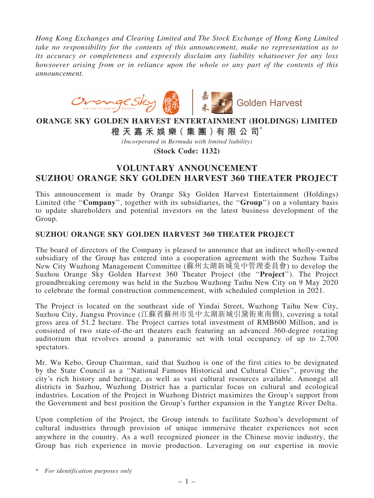*Hong Kong Exchanges and Clearing Limited and The Stock Exchange of Hong Kong Limited take no responsibility for the contents of this announcement, make no representation as to its accuracy or completeness and expressly disclaim any liability whatsoever for any loss howsoever arising from or in reliance upon the whole or any part of the contents of this announcement.*



## ORANGE SKY GOLDEN HARVEST ENTERTAINMENT (HOLDINGS) LIMITED

橙 天 嘉 禾 娛 樂( 集 團 )有 限 公 司\*

*(Incorporated in Bermuda with limited liability)*

(Stock Code: 1132)

## VOLUNTARY ANNOUNCEMENT SUZHOU ORANGE SKY GOLDEN HARVEST 360 THEATER PROJECT

This announcement is made by Orange Sky Golden Harvest Entertainment (Holdings) Limited (the "Company", together with its subsidiaries, the "Group") on a voluntary basis to update shareholders and potential investors on the latest business development of the Group.

## SUZHOU ORANGE SKY GOLDEN HARVEST 360 THEATER PROJECT

The board of directors of the Company is pleased to announce that an indirect wholly-owned subsidiary of the Group has entered into a cooperation agreement with the Suzhou Taihu New City Wuzhong Management Committee (蘇州太湖新城吳中管理委員會) to develop the Suzhou Orange Sky Golden Harvest 360 Theater Project (the ''Project''). The Project groundbreaking ceremony was held in the Suzhou Wuzhong Taihu New City on 9 May 2020 to celebrate the formal construction commencement, with scheduled completion in 2021.

The Project is located on the southeast side of Yindai Street, Wuzhong Taihu New City, Suzhou City, Jiangsu Province (江蘇省蘇州市吳中太湖新城引黛街東南側), covering a total gross area of 51.2 hectare. The Project carries total investment of RMB600 Million, and is consisted of two state-of-the-art theaters each featuring an advanced 360-degree rotating auditorium that revolves around a panoramic set with total occupancy of up to 2,700 spectators.

Mr. Wu Kebo, Group Chairman, said that Suzhou is one of the first cities to be designated by the State Council as a ''National Famous Historical and Cultural Cities'', proving the city's rich history and heritage, as well as vast cultural resources available. Amongst all districts in Suzhou, Wuzhong District has a particular focus on cultural and ecological industries. Location of the Project in Wuzhong District maximizes the Group's support from the Government and best position the Group's further expansion in the Yangtze River Delta.

Upon completion of the Project, the Group intends to facilitate Suzhou's development of cultural industries through provision of unique immersive theater experiences not seen anywhere in the country. As a well recognized pioneer in the Chinese movie industry, the Group has rich experience in movie production. Leveraging on our expertise in movie

\* *For identification purposes only*